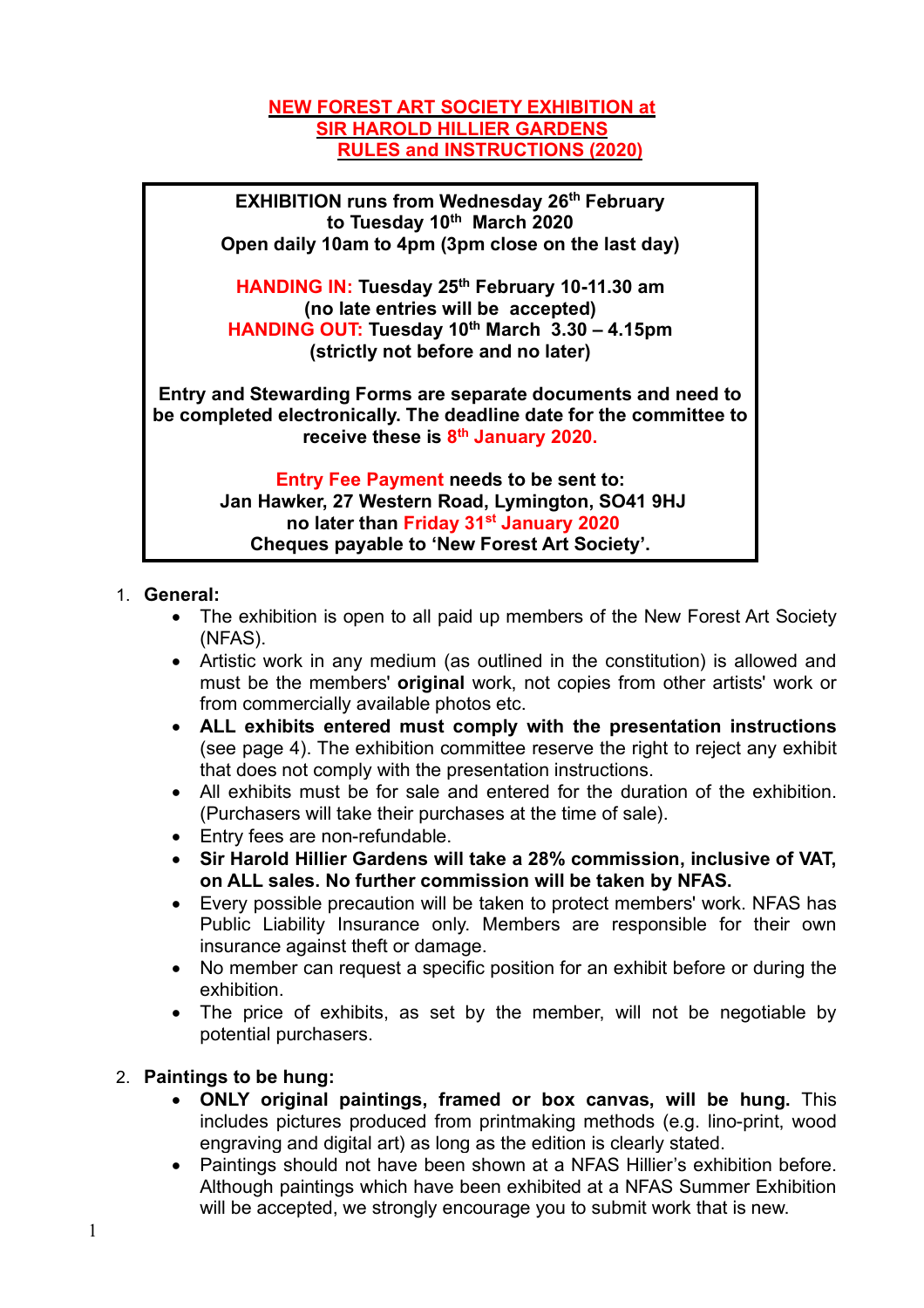### **NEW FOREST ART SOCIETY EXHIBITION at SIR HAROLD HILLIER GARDENS RULES and INSTRUCTIONS (2020)**

**EXHIBITION runs from Wednesday 26th February to Tuesday 10th March 2020 Open daily 10am to 4pm (3pm close on the last day)**

**HANDING IN: Tuesday 25th February 10-11.30 am (no late entries will be accepted) HANDING OUT: Tuesday 10th March 3.30 – 4.15pm (strictly not before and no later)**

**Entry and Stewarding Forms are separate documents and need to be completed electronically. The deadline date for the committee to receive these is 8th January 2020.**

> **Entry Fee Payment needs to be sent to: Jan Hawker, 27 Western Road, Lymington, SO41 9HJ no later than Friday 31st January 2020 Cheques payable to 'New Forest Art Society'.**

### 1. **General:**

- The exhibition is open to all paid up members of the New Forest Art Society (NFAS).
- Artistic work in any medium (as outlined in the constitution) is allowed and must be the members' **original** work, not copies from other artists' work or from commercially available photos etc.
- **ALL exhibits entered must comply with the presentation instructions**  (see page 4). The exhibition committee reserve the right to reject any exhibit that does not comply with the presentation instructions.
- All exhibits must be for sale and entered for the duration of the exhibition. (Purchasers will take their purchases at the time of sale).
- Entry fees are non-refundable.
- **Sir Harold Hillier Gardens will take a 28% commission, inclusive of VAT, on ALL sales. No further commission will be taken by NFAS.**
- Every possible precaution will be taken to protect members' work. NFAS has Public Liability Insurance only. Members are responsible for their own insurance against theft or damage.
- No member can request a specific position for an exhibit before or during the exhibition.
- The price of exhibits, as set by the member, will not be negotiable by potential purchasers.

# 2. **Paintings to be hung:**

- **ONLY original paintings, framed or box canvas, will be hung.** This includes pictures produced from printmaking methods (e.g. lino-print, wood engraving and digital art) as long as the edition is clearly stated.
- Paintings should not have been shown at a NFAS Hillier's exhibition before. Although paintings which have been exhibited at a NFAS Summer Exhibition will be accepted, we strongly encourage you to submit work that is new.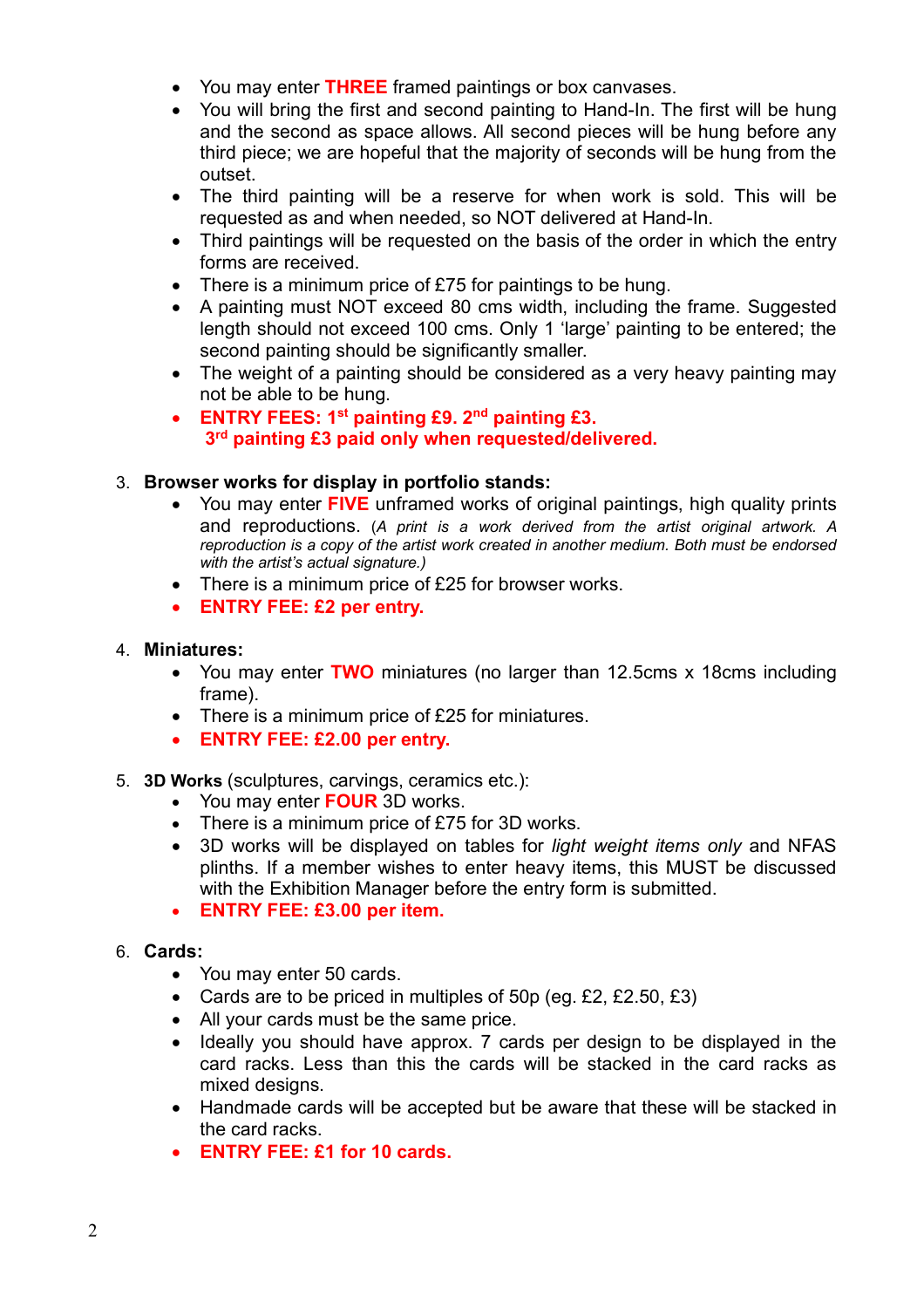- You may enter **THREE** framed paintings or box canvases.
- You will bring the first and second painting to Hand-In. The first will be hung and the second as space allows. All second pieces will be hung before any third piece; we are hopeful that the majority of seconds will be hung from the outset.
- The third painting will be a reserve for when work is sold. This will be requested as and when needed, so NOT delivered at Hand-In.
- Third paintings will be requested on the basis of the order in which the entry forms are received.
- There is a minimum price of £75 for paintings to be hung.
- A painting must NOT exceed 80 cms width, including the frame. Suggested length should not exceed 100 cms. Only 1 'large' painting to be entered; the second painting should be significantly smaller.
- The weight of a painting should be considered as a very heavy painting may not be able to be hung.
- **ENTRY FEES: 1st painting £9. 2nd painting £3. 3rd painting £3 paid only when requested/delivered.**

### 3. **Browser works for display in portfolio stands:**

- You may enter **FIVE** unframed works of original paintings, high quality prints and reproductions. (*A print is a work derived from the artist original artwork. A reproduction is a copy of the artist work created in another medium. Both must be endorsed with the artist's actual signature.)*
- There is a minimum price of £25 for browser works.
- **ENTRY FEE: £2 per entry.**

### 4. **Miniatures:**

- You may enter **TWO** miniatures (no larger than 12.5cms x 18cms including frame).
- There is a minimum price of £25 for miniatures.
- **ENTRY FEE: £2.00 per entry.**
- 5. **3D Works** (sculptures, carvings, ceramics etc.):
	- You may enter **FOUR** 3D works.
	- There is a minimum price of £75 for 3D works.
	- 3D works will be displayed on tables for *light weight items only* and NFAS plinths. If a member wishes to enter heavy items, this MUST be discussed with the Exhibition Manager before the entry form is submitted.
	- **ENTRY FEE: £3.00 per item.**
- 6. **Cards:**
	- You may enter 50 cards.
	- Cards are to be priced in multiples of 50p (eg. £2, £2.50, £3)
	- All your cards must be the same price.
	- Ideally you should have approx. 7 cards per design to be displayed in the card racks. Less than this the cards will be stacked in the card racks as mixed designs.
	- Handmade cards will be accepted but be aware that these will be stacked in the card racks.
	- **ENTRY FEE: £1 for 10 cards.**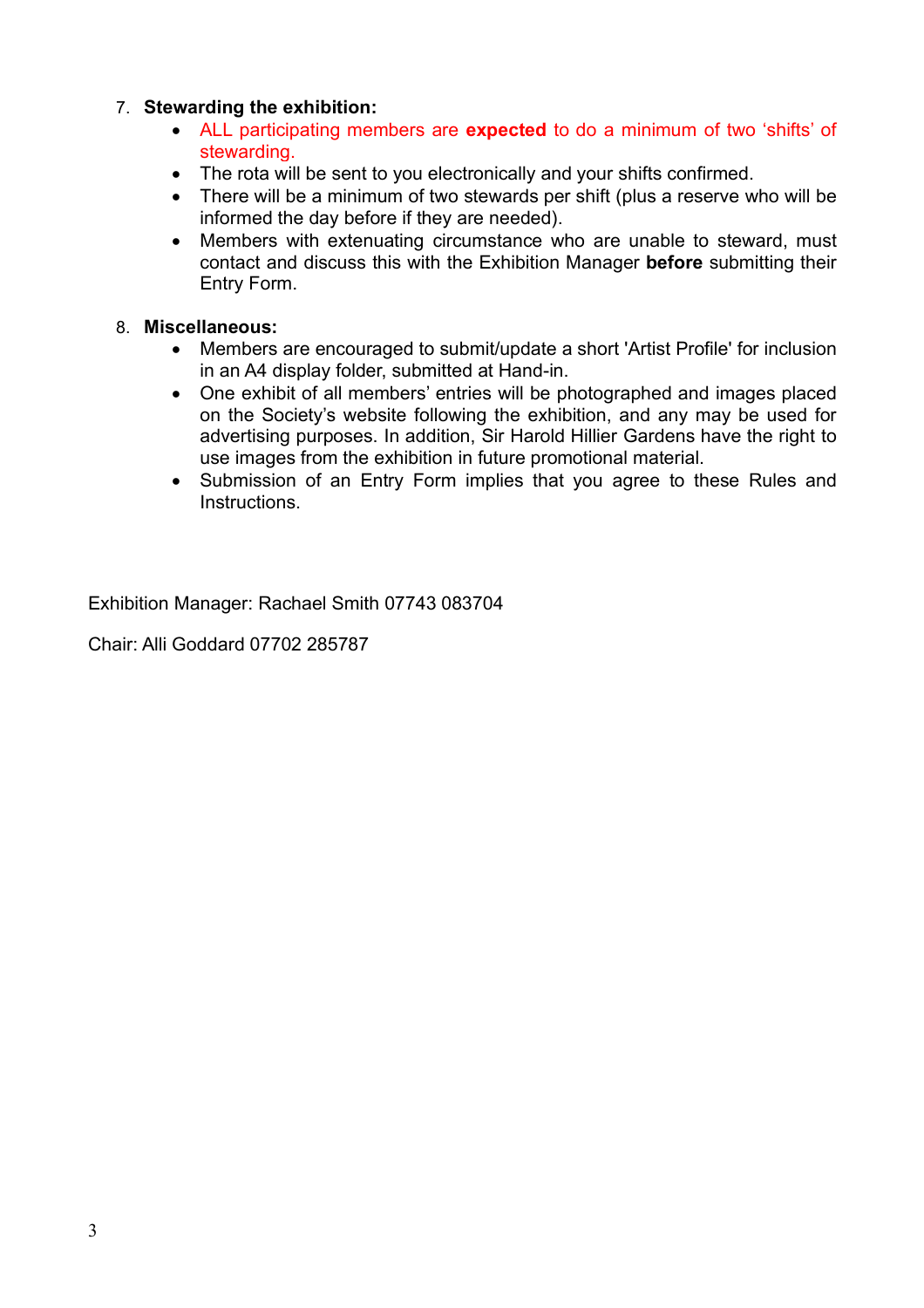# 7. **Stewarding the exhibition:**

- ALL participating members are **expected** to do a minimum of two 'shifts' of stewarding.
- The rota will be sent to you electronically and your shifts confirmed.
- There will be a minimum of two stewards per shift (plus a reserve who will be informed the day before if they are needed).
- Members with extenuating circumstance who are unable to steward, must contact and discuss this with the Exhibition Manager **before** submitting their Entry Form.

# 8. **Miscellaneous:**

- Members are encouraged to submit/update a short 'Artist Profile' for inclusion in an A4 display folder, submitted at Hand-in.
- One exhibit of all members' entries will be photographed and images placed on the Society's website following the exhibition, and any may be used for advertising purposes. In addition, Sir Harold Hillier Gardens have the right to use images from the exhibition in future promotional material.
- Submission of an Entry Form implies that you agree to these Rules and Instructions.

Exhibition Manager: Rachael Smith 07743 083704

Chair: Alli Goddard 07702 285787